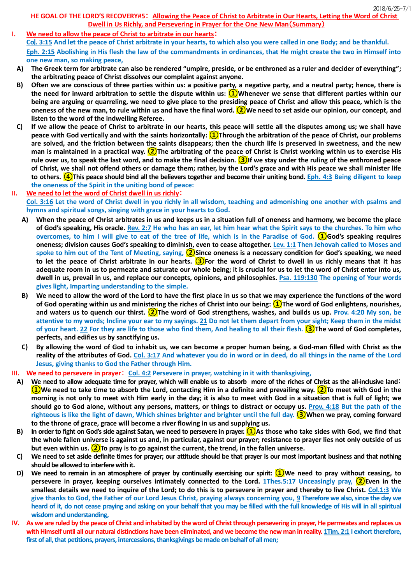## **HE GOAL OF THE LORD'S RECOVERY#5**: **Allowing the Peace of Christ to Arbitrate in Our Hearts, Letting the Word of Christ Dwell in Us Richly, and Persevering in Prayer for the One New Man**(**Summary**)

- **I. We need to allow the peace of Christ to arbitrate in our hearts**: **Co**l**. 3:15 And let the peace of Christ arbitrate in your hearts, to which also you were called in one Body; and be thankful. Eph. 2:15 Abolishing in His flesh the law of the commandments in ordinances, that He might create the two in Himself into one new man, so making peace,**
	- **A) The Greek term for arbitrate can also be rendered "umpire, preside, or be enthroned as a ruler and decider of everything"; the arbitrating peace of Christ dissolves our complaint against anyone.**
	- **B) Often we are conscious of three parties within us: a positive party, a negative party, and a neutral party; hence, there is the need for inward arbitration to settle the dispute within us: ①Whenever we sense that different parties within our being are arguing or quarreling, we need to give place to the presiding peace of Christ and allow this peace, which is the oneness of the new man, to rule within us and have the final word. ②We need to set aside our opinion, our concept, and listen to the word of the indwelling Referee.**
	- **C) If we allow the peace of Christ to arbitrate in our hearts, this peace will settle all the disputes among us; we shall have peace with God vertically and with the saints horizontally: ①Through the arbitration of the peace of Christ, our problems are solved, and the friction between the saints disappears; then the church life is preserved in sweetness, and the new man is maintained in a practical way. ②The arbitrating of the peace of Christ is Christ working within us to exercise His rule over us, to speak the last word, and to make the final decision. ③If we stay under the ruling of the enthroned peace of Christ, we shall not offend others or damage them; rather, by the Lord's grace and with His peace we shall minister life to others. ④This peace should bind all the believers together and become their uniting bond. Eph. 4:3 Being diligent to keep the oneness of the Spirit in the uniting bond of peace:**
- **II. We need to let the word of Christ dwell in us richly**:

**Col. 3:16 Let the word of Christ dwell in you richly in all wisdom, teaching and admonishing one another with psalms and hymns and spiritual songs, singing with grace in your hearts to God.**

- **A) When the peace of Christ arbitrates in us and keeps us in a situation full of oneness and harmony, we become the place of God's speaking, His oracle. Rev. 2:7 He who has an ear, let him hear what the Spirit says to the churches. To him who overcomes, to him I will give to eat of the tree of life, which is in the Paradise of God. ①God's speaking requires oneness; division causes God's speaking to diminish, even to cease altogether. Lev. 1:1 Then Jehovah called to Moses and spoke to him out of the Tent of Meeting, saying, ②Since oneness is a necessary condition for God's speaking, we need to let the peace of Christ arbitrate in our hearts. ③For the word of Christ to dwell in us richly means that it has adequate room in us to permeate and saturate our whole being; it is crucial for us to let the word of Christ enter into us, dwell in us, prevail in us, and replace our concepts, opinions, and philosophies. Psa. 119:130 The opening of Your words gives light, Imparting understanding to the simple.**
- **B) We need to allow the word of the Lord to have the first place in us so that we may experience the functions of the word of God operating within us and ministering the riches of Christ into our being: ①The word of God enlightens, nourishes, and waters us to quench our thirst. ②The word of God strengthens, washes, and builds us up. Prov. 4:20 My son, be attentive to my words; Incline your ear to my sayings. 21 Do not let them depart from your sight; Keep them in the midst of your heart. 22 For they are life to those who find them, And healing to all their flesh. ③The word of God completes, perfects, and edifies us by sanctifying us.**
- **C) By allowing the word of God to inhabit us, we can become a proper human being, a God-man filled with Christ as the reality of the attributes of God. Col. 3:17 And whatever you do in word or in deed, do all things in the name of the Lord Jesus, giving thanks to God the Father through Him.**
- **III. We need to persevere in prayer**: **Col. 4:2 Persevere in prayer, watching in it with thanksgiving,**
	- **A) We need to allow adequate time for prayer, which will enable us to absorb more of the riches of Christ as the all-inclusive land**: **①We need to take time to absorb the Lord, contacting Him in a definite and prevailing way. ②To meet with God in the morning is not only to meet with Him early in the day; it is also to meet with God in a situation that is full of light; we should go to God alone, without any persons, matters, or things to distract or occupy us. Prov. 4:18 But the path of the righteous is like the light of dawn, Which shines brighter and brighter until the full day. ③When we pray, coming forward to the throne of grace, grace will become a river flowing in us and supplying us.**
	- **B) In order to fight on God's side against Satan, we need to persevere in prayer. ①As those who take sides with God, we find that the whole fallen universe is against us and, in particular, against our prayer; resistance to prayer lies not only outside of us but even within us. ②To pray is to go against the current, the trend, in the fallen universe.**
	- **C) We need to set aside definite times for prayer; our attitude should be that prayer is our most important business and that nothing should be allowedto interfere with it.**
	- **D) We need to remain in an atmosphere of prayer by continually exercising our spirit: ①We need to pray without ceasing, to persevere in prayer, keeping ourselves intimately connected to the Lord. 1Thes.5:17 Unceasingly pray, ②Even in the smallest details we need to inquire of the Lord; to do this is to persevere in prayer and thereby to live Christ. Col.1:3 We give thanks to God, the Father of our Lord Jesus Christ, praying always concerning you, 9 Therefore we also, since the day we heard of it, do not cease praying and asking on your behalf that you may be filled with the full knowledge of His will in all spiritual wisdom and understanding,**
- **IV. As we are ruled by the peace of Christ and inhabited by the word of Christ through persevering in prayer, He permeates and replaces us with Himself until all our natural distinctions have been eliminated, and we become the new man in reality. 1Tim. 2:1 I exhort therefore, first of all, that petitions, prayers, intercessions, thanksgivings be made on behalf of all men;**